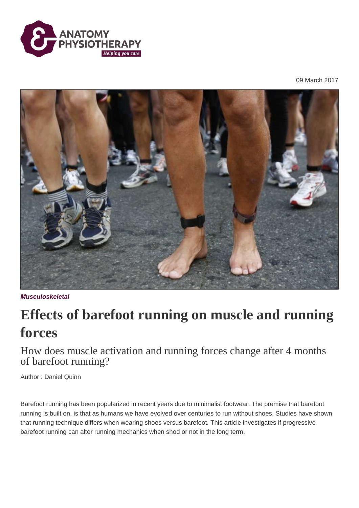

09 March 2017



**Musculoskeletal**

## **Effects of barefoot running on muscle and running forces**

How does muscle activation and running forces change after 4 months of barefoot running?

Author : Daniel Quinn

Barefoot running has been popularized in recent years due to minimalist footwear. The premise that barefoot running is built on, is that as humans we have evolved over centuries to run without shoes. Studies have shown that running technique differs when wearing shoes versus barefoot. This article investigates if progressive barefoot running can alter running mechanics when shod or not in the long term.